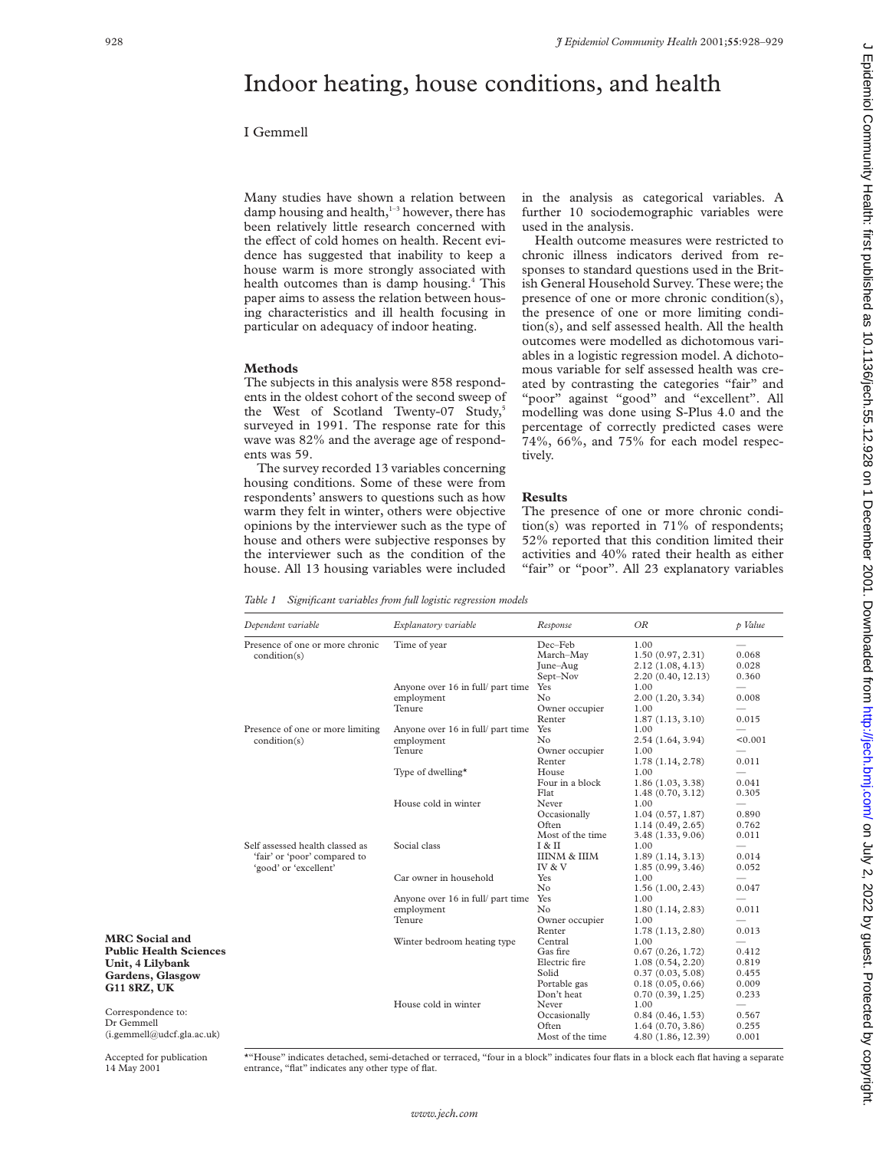# Indoor heating, house conditions, and health

# I Gemmell

Many studies have shown a relation between damp housing and health,<sup>1-3</sup> however, there has been relatively little research concerned with the effect of cold homes on health. Recent evidence has suggested that inability to keep a house warm is more strongly associated with health outcomes than is damp housing.<sup>4</sup> This paper aims to assess the relation between housing characteristics and ill health focusing in particular on adequacy of indoor heating.

## **Methods**

The subjects in this analysis were 858 respondents in the oldest cohort of the second sweep of the West of Scotland Twenty-07 Study,<sup>5</sup> surveyed in 1991. The response rate for this wave was 82% and the average age of respondents was 59.

The survey recorded 13 variables concerning housing conditions. Some of these were from respondents' answers to questions such as how warm they felt in winter, others were objective opinions by the interviewer such as the type of house and others were subjective responses by the interviewer such as the condition of the house. All 13 housing variables were included

in the analysis as categorical variables. A further 10 sociodemographic variables were used in the analysis.

Health outcome measures were restricted to chronic illness indicators derived from responses to standard questions used in the British General Household Survey. These were; the presence of one or more chronic condition(s), the presence of one or more limiting condition(s), and self assessed health. All the health outcomes were modelled as dichotomous variables in a logistic regression model. A dichotomous variable for self assessed health was created by contrasting the categories "fair" and "poor" against "good" and "excellent". All modelling was done using S-Plus 4.0 and the percentage of correctly predicted cases were 74%, 66%, and 75% for each model respectively.

### **Results**

The presence of one or more chronic condition(s) was reported in 71% of respondents; 52% reported that this condition limited their activities and 40% rated their health as either "fair" or "poor". All 23 explanatory variables

*Table 1 Significant variables from full logistic regression models*

|                               | Dependent variable                                                                                       | Explanatory variable              | Response                | OR                                    | p Value                  |
|-------------------------------|----------------------------------------------------------------------------------------------------------|-----------------------------------|-------------------------|---------------------------------------|--------------------------|
|                               | Presence of one or more chronic<br>condition(s)                                                          | Time of year                      | Dec-Feb                 | 1.00                                  |                          |
|                               |                                                                                                          |                                   | March-May               | 1.50(0.97, 2.31)                      | 0.068                    |
|                               |                                                                                                          |                                   | June-Aug<br>Sept-Nov    | 2.12(1.08, 4.13)<br>2.20(0.40, 12.13) | 0.028<br>0.360           |
|                               |                                                                                                          | Anyone over 16 in full/ part time | Yes                     | 1.00                                  | $\overline{\phantom{0}}$ |
|                               |                                                                                                          | employment                        | No                      | 2.00(1.20, 3.34)                      | 0.008                    |
|                               |                                                                                                          | Tenure                            | Owner occupier          | 1.00                                  |                          |
|                               |                                                                                                          |                                   | Renter                  | 1.87(1.13, 3.10)                      | 0.015                    |
|                               | Presence of one or more limiting                                                                         | Anyone over 16 in full/ part time | Yes                     | 1.00                                  |                          |
|                               | condition(s)<br>Self assessed health classed as<br>'fair' or 'poor' compared to<br>'good' or 'excellent' | employment                        | No                      | 2.54(1.64, 3.94)                      | < 0.001                  |
|                               |                                                                                                          | Tenure                            | Owner occupier          | 1.00                                  | $\qquad \qquad$          |
|                               |                                                                                                          |                                   | Renter                  | 1.78(1.14, 2.78)                      | 0.011                    |
|                               |                                                                                                          | Type of dwelling*                 | House                   | 1.00                                  | $\qquad \qquad$          |
|                               |                                                                                                          |                                   | Four in a block         | 1.86(1.03, 3.38)                      | 0.041                    |
|                               |                                                                                                          |                                   | Flat                    | 1.48(0.70, 3.12)                      | 0.305                    |
|                               |                                                                                                          | House cold in winter              | Never                   | 1.00                                  | $\overline{\phantom{0}}$ |
|                               |                                                                                                          |                                   | Occasionally            | 1.04(0.57, 1.87)                      | 0.890                    |
|                               |                                                                                                          |                                   | Often                   | 1.14(0.49, 2.65)                      | 0.762                    |
|                               |                                                                                                          |                                   | Most of the time        | 3.48(1.33, 9.06)                      | 0.011                    |
|                               |                                                                                                          | Social class                      | I & II                  | 1.00                                  | $\overline{\phantom{0}}$ |
|                               |                                                                                                          | Car owner in household            | <b>IIINM &amp; IIIM</b> | 1.89(1.14, 3.13)                      | 0.014                    |
|                               |                                                                                                          |                                   | IV & V                  | 1.85(0.99, 3.46)                      | 0.052                    |
|                               |                                                                                                          |                                   | Yes                     | 1.00                                  | $\qquad \qquad$          |
|                               |                                                                                                          |                                   | No                      | 1.56(1.00, 2.43)                      | 0.047                    |
|                               |                                                                                                          | Anyone over 16 in full/ part time | Yes                     | 1.00                                  |                          |
|                               |                                                                                                          | employment                        | No                      | 1.80(1.14, 2.83)                      | 0.011                    |
|                               |                                                                                                          | Tenure                            | Owner occupier          | 1.00                                  | $\overline{\phantom{m}}$ |
| <b>MRC</b> Social and         |                                                                                                          |                                   | Renter                  | 1.78(1.13, 2.80)                      | 0.013                    |
|                               |                                                                                                          | Winter bedroom heating type       | Central                 | 1.00                                  |                          |
| <b>Public Health Sciences</b> |                                                                                                          |                                   | Gas fire                | 0.67(0.26, 1.72)                      | 0.412                    |
| Unit, 4 Lilybank              |                                                                                                          |                                   | Electric fire           | 1.08(0.54, 2.20)                      | 0.819                    |
| Gardens, Glasgow              |                                                                                                          |                                   | Solid                   | 0.37(0.03, 5.08)                      | 0.455                    |
| <b>G11 8RZ, UK</b>            |                                                                                                          |                                   | Portable gas            | 0.18(0.05, 0.66)                      | 0.009                    |
|                               |                                                                                                          |                                   | Don't heat              | 0.70(0.39, 1.25)                      | 0.233                    |
| Correspondence to:            |                                                                                                          | House cold in winter              | Never                   | 1.00                                  |                          |
| Dr Gemmell                    |                                                                                                          |                                   | Occasionally            | 0.84(0.46, 1.53)                      | 0.567                    |
| (i. gemmell@udcf.gla.ac.uk)   |                                                                                                          |                                   | Often                   | 1.64(0.70, 3.86)                      | 0.255                    |
|                               |                                                                                                          |                                   | Most of the time        | 4.80 (1.86, 12.39)                    | 0.001                    |

Dr Gemmell  $(i.gemmel@udc)$ 

Accepted for publication 14 May 2001

\*"House" indicates detached, semi-detached or terraced, "four in a block" indicates four flats in a block each flat having a separate entrance, "flat" indicates any other type of flat.